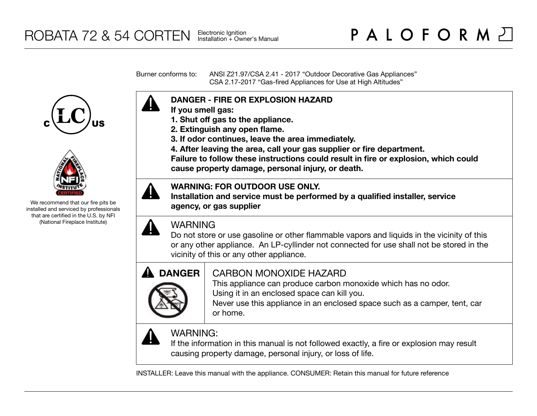Burner conforms to: ANSI Z21.97/CSA 2.41 - 2017 "Outdoor Decorative Gas Appliances" CSA 2.17-2017 "Gas-fired Appliances for Use at High Altitudes"





We recommend that our fire pits be installed and serviced by professionals that are certified in the U.S. by NFI (National Fireplace Institute)



- **If you smell gas:**
- **1. Shut off gas to the appliance.**
- **2. Extinguish any open flame.**
- **3. If odor continues, leave the area immediately.**
- **4. After leaving the area, call your gas supplier or fire department.**

**Failure to follow these instructions could result in fire or explosion, which could cause property damage, personal injury, or death.**

## **WARNING: FOR OUTDOOR USE ONLY.**

**Installation and service must be performed by a qualified installer, service agency, or gas supplier**



## WARNING

Do not store or use gasoline or other flammable vapors and liquids in the vicinity of this or any other appliance. An LP-cyllinder not connected for use shall not be stored in the vicinity of this or any other appliance.



# CARBON MONOXIDE HAZARD

This appliance can produce carbon monoxide which has no odor. Using it in an enclosed space can kill you.

Never use this appliance in an enclosed space such as a camper, tent, car or home.



# WARNING:

If the information in this manual is not followed exactly, a fire or explosion may result causing property damage, personal injury, or loss of life.

INSTALLER: Leave this manual with the appliance. CONSUMER: Retain this manual for future reference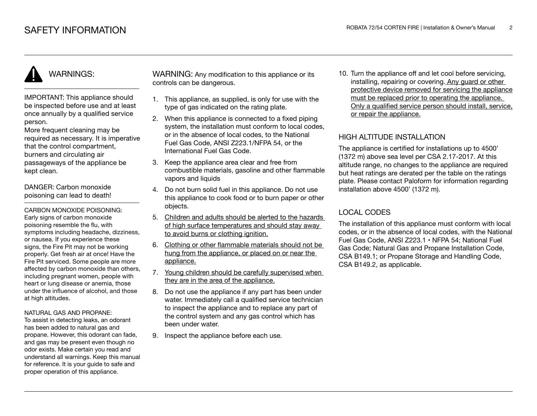IMPORTANT: This appliance should be inspected before use and at least once annually by a qualified service person.

More frequent cleaning may be required as necessary. It is imperative that the control compartment, burners and circulating air passageways of the appliance be kept clean.

DANGER: Carbon monoxide poisoning can lead to death!

CARBON MONOXIDE POISONING: Early signs of carbon monoxide poisoning resemble the flu, with symptoms including headache, dizziness, or nausea. If you experience these signs, the Fire Pit may not be working properly. Get fresh air at once! Have the Fire Pit serviced. Some people are more affected by carbon monoxide than others, including pregnant women, people with heart or lung disease or anemia, those under the influence of alcohol, and those at high altitudes.

#### NATURAL GAS AND PROPANE:

To assist in detecting leaks, an odorant has been added to natural gas and propane. However, this odorant can fade, and gas may be present even though no odor exists. Make certain you read and understand all warnings. Keep this manual for reference. It is your guide to safe and proper operation of this appliance.

WARNING: Any modification to this appliance or its controls can be dangerous.

- 1. This appliance, as supplied, is only for use with the type of gas indicated on the rating plate.
- 2. When this appliance is connected to a fixed piping system, the installation must conform to local codes. or in the absence of local codes, to the National Fuel Gas Code, ANSI Z223.1/NFPA 54, or the International Fuel Gas Code.
- 3. Keep the appliance area clear and free from combustible materials, gasoline and other flammable vapors and liquids
- 4. Do not burn solid fuel in this appliance. Do not use this appliance to cook food or to burn paper or other objects.
- 5. Children and adults should be alerted to the hazards of high surface temperatures and should stay away to avoid burns or clothing ignition.
- 6. Clothing or other flammable materials should not be hung from the appliance, or placed on or near the appliance.
- 7. Young children should be carefully supervised when they are in the area of the appliance.
- 8. Do not use the appliance if any part has been under water. Immediately call a qualified service technician to inspect the appliance and to replace any part of the control system and any gas control which has been under water.
- 9. Inspect the appliance before each use.

10. Turn the appliance off and let cool before servicing, installing, repairing or covering. Any guard or other protective device removed for servicing the appliance must be replaced prior to operating the appliance. Only a qualified service person should install, service, or repair the appliance.

### HIGH ALTITUDE INSTALLATION

The appliance is certified for installations up to 4500' (1372 m) above sea level per CSA 2.17-2017. At this altitude range, no changes to the appliance are required but heat ratings are derated per the table on the ratings plate. Please contact Paloform for information regarding installation above 4500' (1372 m).

### LOCAL CODES

The installation of this appliance must conform with local codes, or in the absence of local codes, with the National Fuel Gas Code, ANSI Z223.1 • NFPA 54; National Fuel Gas Code; Natural Gas and Propane Installation Code, CSA B149.1; or Propane Storage and Handling Code, CSA B149.2, as applicable.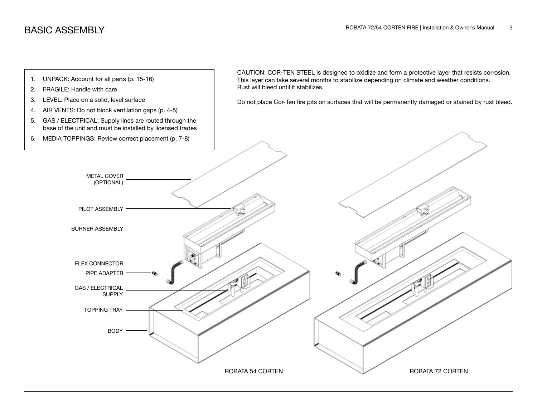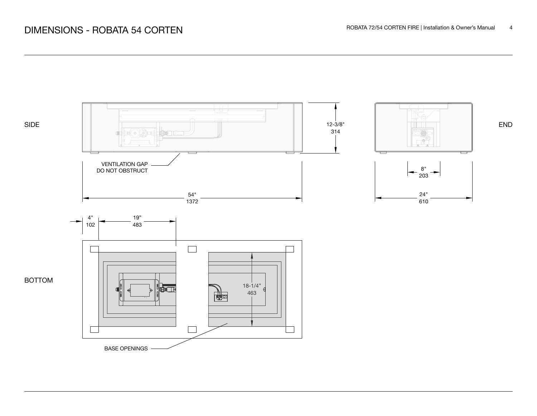# DIMENSIONS - ROBATA 54 CORTEN

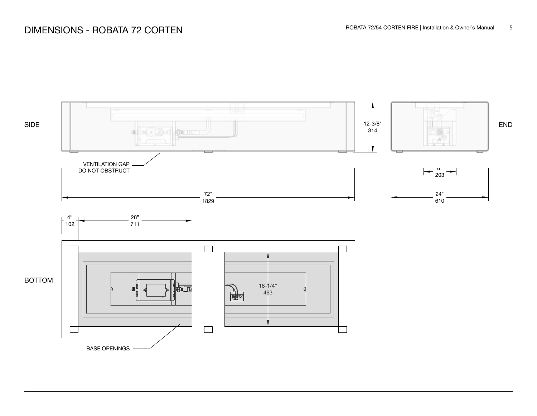# DIMENSIONS - ROBATA 72 CORTEN

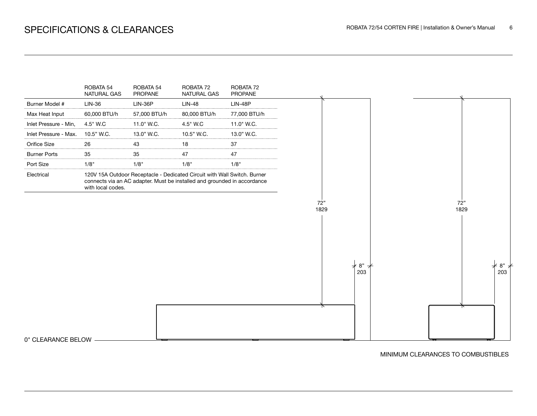

MINIMUM CLEARANCES TO COMBUSTIBLES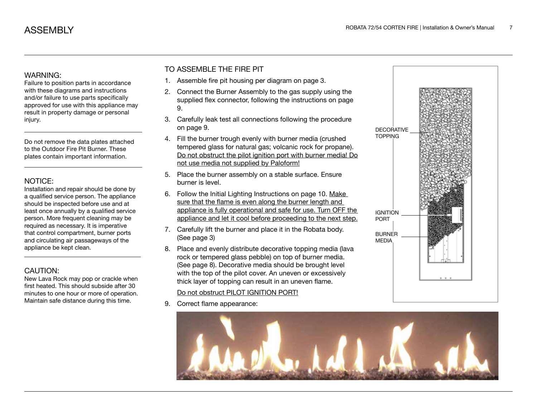Failure to position parts in accordance with these diagrams and instructions and/or failure to use parts specifically approved for use with this appliance may result in property damage or personal injury.

Do not remove the data plates attached to the Outdoor Fire Pit Burner. These plates contain important information.

### NOTICE:

Installation and repair should be done by a qualified service person. The appliance should be inspected before use and at least once annually by a qualified service person. More frequent cleaning may be required as necessary. It is imperative that control compartment, burner ports and circulating air passageways of the appliance be kept clean.

### CAUTION:

New Lava Rock may pop or crackle when first heated. This should subside after 30 minutes to one hour or more of operation. Maintain safe distance during this time.

### TO ASSEMBLE THE FIRE PIT

- 1. Assemble fire pit housing per diagram on page 3.
- 2. Connect the Burner Assembly to the gas supply using the supplied flex connector, following the instructions on page 9.
- 3. Carefully leak test all connections following the procedure on page 9.
- 4. Fill the burner trough evenly with burner media (crushed tempered glass for natural gas; volcanic rock for propane). Do not obstruct the pilot ignition port with burner media! Do not use media not supplied by Paloform!
- 5. Place the burner assembly on a stable surface. Ensure burner is level.
- 6. Follow the Initial Lighting Instructions on page 10. Make sure that the flame is even along the burner length and appliance is fully operational and safe for use. Turn OFF the appliance and let it cool before proceeding to the next step.
- 7. Carefully lift the burner and place it in the Robata body. (See page 3)
- 8. Place and evenly distribute decorative topping media (lava rock or tempered glass pebble) on top of burner media. (See page 8). Decorative media should be brought level with the top of the pilot cover. An uneven or excessively thick layer of topping can result in an uneven flame.

### Do not obstruct PILOT IGNITION PORT!

9. Correct flame appearance:



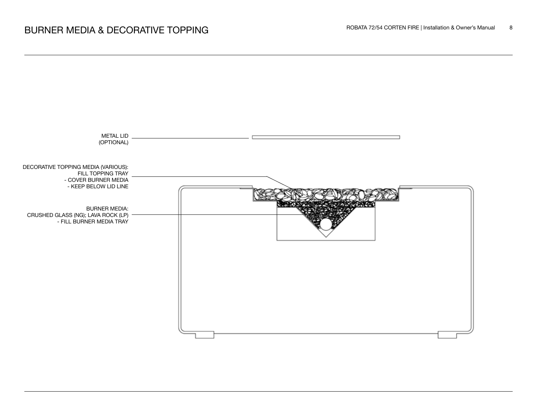

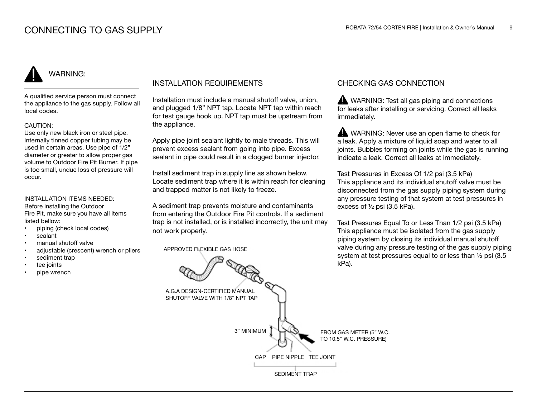A qualified service person must connect the appliance to the gas supply. Follow all local codes.

#### CAUTION:

Use only new black iron or steel pipe. Internally tinned copper tubing may be used in certain areas. Use pipe of 1/2" diameter or greater to allow proper gas volume to Outdoor Fire Pit Burner. If pipe is too small, undue loss of pressure will occur.

#### INSTALLATION ITEMS NEEDED: Before installing the Outdoor

Fire Pit, make sure you have all items listed bellow:

- piping (check local codes)
- sealant
- manual shutoff valve
- adjustable (crescent) wrench or pliers
- sediment trap
- tee joints
- pipe wrench

## INSTALLATION REQUIREMENTS

Installation must include a manual shutoff valve, union, and plugged 1/8" NPT tap. Locate NPT tap within reach for test gauge hook up. NPT tap must be upstream from the appliance.

Apply pipe joint sealant lightly to male threads. This will prevent excess sealant from going into pipe. Excess sealant in pipe could result in a clogged burner injector.

Install sediment trap in supply line as shown below. Locate sediment trap where it is within reach for cleaning and trapped matter is not likely to freeze.

A sediment trap prevents moisture and contaminants from entering the Outdoor Fire Pit controls. If a sediment trap is not installed, or is installed incorrectly, the unit may not work properly.

APPROVED FLEXIBLE GAS HOSE

## CHECKING GAS CONNECTION

WARNING: Test all gas piping and connections for leaks after installing or servicing. Correct all leaks immediately.

WARNING: Never use an open flame to check for a leak. Apply a mixture of liquid soap and water to all joints. Bubbles forming on joints while the gas is running indicate a leak. Correct all leaks at immediately.

Test Pressures in Excess Of 1/2 psi (3.5 kPa) This appliance and its individual shutoff valve must be disconnected from the gas supply piping system during any pressure testing of that system at test pressures in excess of ½ psi (3.5 kPa).

Test Pressures Equal To or Less Than 1/2 psi (3.5 kPa) This appliance must be isolated from the gas supply piping system by closing its individual manual shutoff valve during any pressure testing of the gas supply piping system at test pressures equal to or less than ½ psi (3.5 kPa).

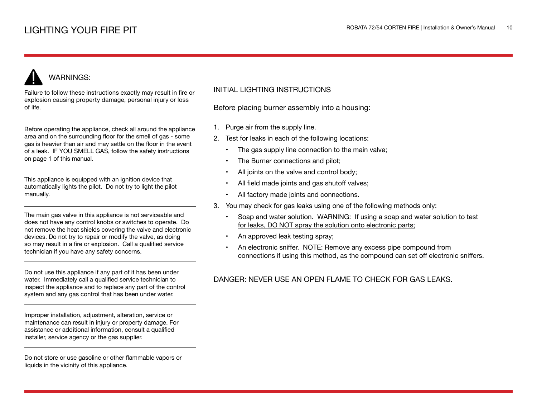Failure to follow these instructions exactly may result in fire or explosion causing property damage, personal injury or loss of life.

Before operating the appliance, check all around the appliance area and on the surrounding floor for the smell of gas - some gas is heavier than air and may settle on the floor in the event of a leak. IF YOU SMELL GAS, follow the safety instructions on page 1 of this manual.

This appliance is equipped with an ignition device that automatically lights the pilot. Do not try to light the pilot manually.

The main gas valve in this appliance is not serviceable and does not have any control knobs or switches to operate. Do not remove the heat shields covering the valve and electronic devices. Do not try to repair or modify the valve, as doing so may result in a fire or explosion. Call a qualified service technician if you have any safety concerns.

Do not use this appliance if any part of it has been under water. Immediately call a qualified service technician to inspect the appliance and to replace any part of the control system and any gas control that has been under water.

Improper installation, adjustment, alteration, service or maintenance can result in injury or property damage. For assistance or additional information, consult a qualified installer, service agency or the gas supplier.

Do not store or use gasoline or other flammable vapors or liquids in the vicinity of this appliance.

### INITIAL LIGHTING INSTRUCTIONS

Before placing burner assembly into a housing:

- 1. Purge air from the supply line.
- 2. Test for leaks in each of the following locations:
	- The gas supply line connection to the main valve;
	- The Burner connections and pilot;
	- All joints on the valve and control body;
	- All field made joints and gas shutoff valves;
	- All factory made joints and connections.
- 3. You may check for gas leaks using one of the following methods only:
	- Soap and water solution. WARNING: If using a soap and water solution to test for leaks, DO NOT spray the solution onto electronic parts;
	- An approved leak testing spray;
	- An electronic sniffer. NOTE: Remove any excess pipe compound from connections if using this method, as the compound can set off electronic sniffers.

## DANGER: NEVER USE AN OPEN FLAME TO CHECK FOR GAS LEAKS.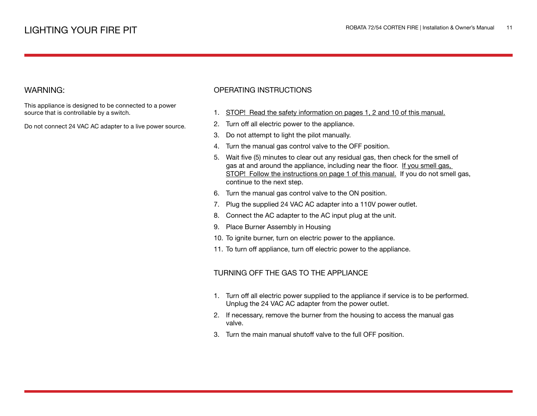This appliance is designed to be connected to a power source that is controllable by a switch.

Do not connect 24 VAC AC adapter to a live power source.

### OPERATING INSTRUCTIONS

- 1. STOP! Read the safety information on pages 1, 2 and 10 of this manual.
- 2. Turn off all electric power to the appliance.
- 3. Do not attempt to light the pilot manually.
- 4. Turn the manual gas control valve to the OFF position.
- 5. Wait five (5) minutes to clear out any residual gas, then check for the smell of gas at and around the appliance, including near the floor. If you smell gas, STOP! Follow the instructions on page 1 of this manual. If you do not smell gas, continue to the next step.
- 6. Turn the manual gas control valve to the ON position.
- 7. Plug the supplied 24 VAC AC adapter into a 110V power outlet.
- 8. Connect the AC adapter to the AC input plug at the unit.
- 9. Place Burner Assembly in Housing
- 10. To ignite burner, turn on electric power to the appliance.
- 11. To turn off appliance, turn off electric power to the appliance.

### TURNING OFF THE GAS TO THE APPLIANCE

- 1. Turn off all electric power supplied to the appliance if service is to be performed. Unplug the 24 VAC AC adapter from the power outlet.
- 2. If necessary, remove the burner from the housing to access the manual gas valve.
- 3. Turn the main manual shutoff valve to the full OFF position.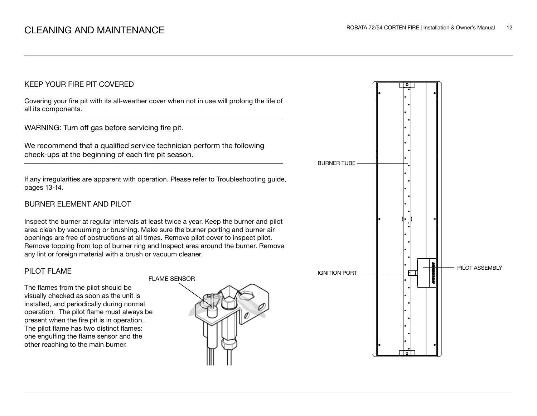### KEEP YOUR FIRE PIT COVERED

Covering your fire pit with its all-weather cover when not in use will prolong the life of all its components.

WARNING: Turn off gas before servicing fire pit.

We recommend that a qualified service technician perform the following check-ups at the beginning of each fire pit season.

If any irregularities are apparent with operation. Please refer to Troubleshooting guide, pages 13-14.

### BURNER ELEMENT AND PILOT

Inspect the burner at regular intervals at least twice a year. Keep the burner and pilot area clean by vacuuming or brushing. Make sure the burner porting and burner air openings are free of obstructions at all times. Remove pilot cover to inspect pilot. Remove topping from top of burner ring and Inspect area around the burner. Remove any lint or foreign material with a brush or vacuum cleaner.

### PILOT FLAME

The flames from the pilot should be visually checked as soon as the unit is installed, and periodically during normal operation. The pilot flame must always be present when the fire pit is in operation. The pilot flame has two distinct flames: one engulfing the flame sensor and the other reaching to the main burner.



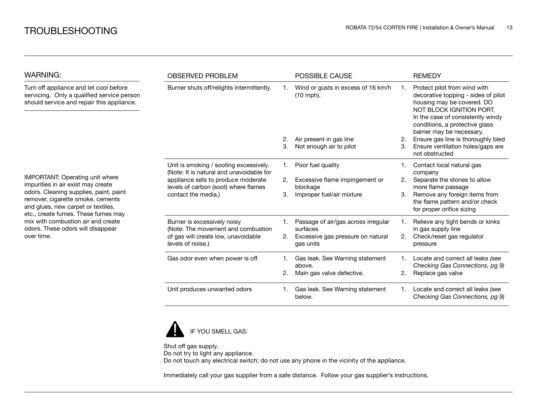| <b>WARNING:</b>                                                                                                                                                                                                                     | <b>OBSERVED PROBLEM</b>                                                                                                                                                                 |    | <b>POSSIBLE CAUSE</b>                             |    | <b>REMEDY</b>                                                                                                                                                                                                                     |
|-------------------------------------------------------------------------------------------------------------------------------------------------------------------------------------------------------------------------------------|-----------------------------------------------------------------------------------------------------------------------------------------------------------------------------------------|----|---------------------------------------------------|----|-----------------------------------------------------------------------------------------------------------------------------------------------------------------------------------------------------------------------------------|
| Turn off appliance and let cool before<br>servicing. Only a qualified service person<br>should service and repair this appliance.                                                                                                   | Burner shuts off/relights intermittently.                                                                                                                                               |    | Wind or gusts in excess of 16 km/h<br>$(10$ mph). | 1. | Protect pilot from wind with<br>decorative topping - sides of pilot<br>housing may be covered. DO<br>NOT BLOCK IGNITION PORT.<br>In the case of consistently windy<br>conditions, a protective glass<br>barrier may be necessary. |
|                                                                                                                                                                                                                                     |                                                                                                                                                                                         | 2. | Air present in gas line                           | 2. | Ensure gas line is thoroughly bled                                                                                                                                                                                                |
|                                                                                                                                                                                                                                     |                                                                                                                                                                                         | 3. | Not enough air to pilot                           | З. | Ensure ventilation holes/gaps are<br>not obstructed                                                                                                                                                                               |
|                                                                                                                                                                                                                                     | Unit is smoking / sooting excessively.<br>(Note: It is natural and unavoidable for<br>appliance sets to produce moderate<br>levels of carbon (soot) where flames<br>contact the media.) | 1. | Poor fuel quality                                 |    | Contact local natural gas<br>company                                                                                                                                                                                              |
| IMPORTANT: Operating unit where<br>impurities in air exist may create                                                                                                                                                               |                                                                                                                                                                                         | 2. | Excessive flame impingement or                    | 2. | Separate the stones to allow                                                                                                                                                                                                      |
| odors. Cleaning supplies, paint, paint<br>remover, cigarette smoke, cements<br>and glues, new carpet or textiles,<br>etc., create fumes. These fumes may<br>mix with combustion air and create<br>odors. These odors will disappear |                                                                                                                                                                                         | 3. | blockage<br>Improper fuel/air mixture             | 3. | more flame passage<br>Remove any foreign items from<br>the flame pattern and/or check<br>for proper orifice sizing                                                                                                                |
|                                                                                                                                                                                                                                     | Burner is excessively noisy<br>(Note: The movement and combustion                                                                                                                       |    | Passage of air/gas across irregular<br>surfaces   |    | Relieve any tight bends or kinks<br>in gas supply line                                                                                                                                                                            |
| over time.                                                                                                                                                                                                                          | of gas will create low, unavoidable<br>levels of noise.)                                                                                                                                | 2. | Excessive gas pressure on natural<br>gas units    | 2. | Check/reset gas regulator<br>pressure                                                                                                                                                                                             |
|                                                                                                                                                                                                                                     | Gas odor even when power is off                                                                                                                                                         | 1. | Gas leak. See Warning statement<br>above.         |    | Locate and correct all leaks (see<br>Checking Gas Connections, pg 9)                                                                                                                                                              |
|                                                                                                                                                                                                                                     |                                                                                                                                                                                         | 2. | Main gas valve defective.                         | 2. | Replace gas valve                                                                                                                                                                                                                 |
|                                                                                                                                                                                                                                     | Unit produces unwanted odors                                                                                                                                                            | 1. | Gas leak. See Warning statement<br>below.         | 1. | Locate and correct all leaks (see<br>Checking Gas Connections, pg 9)                                                                                                                                                              |



Shut off gas supply. Do not try to light any appliance. Do not touch any electrical switch; do not use any phone in the vicinity of the appliance.

Immediately call your gas supplier from a safe distance. Follow your gas supplier's instructions.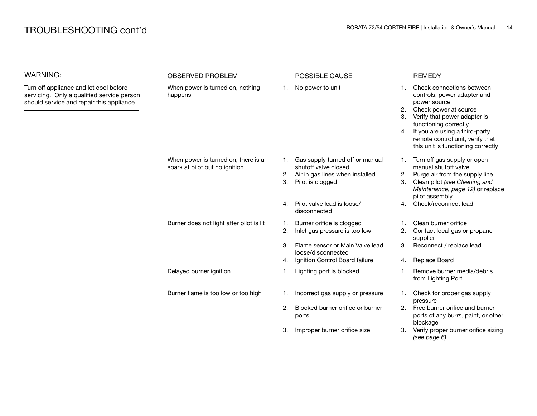| <b>WARNING:</b>                                                                                                                   | <b>OBSERVED PROBLEM</b>                                               |                      | POSSIBLE CAUSE                                                                                                                                               |                      | <b>REMEDY</b>                                                                                                                                                                                                                                                          |
|-----------------------------------------------------------------------------------------------------------------------------------|-----------------------------------------------------------------------|----------------------|--------------------------------------------------------------------------------------------------------------------------------------------------------------|----------------------|------------------------------------------------------------------------------------------------------------------------------------------------------------------------------------------------------------------------------------------------------------------------|
| Turn off appliance and let cool before<br>servicing. Only a qualified service person<br>should service and repair this appliance. | When power is turned on, nothing<br>happens                           | 1.                   | No power to unit                                                                                                                                             | 1.<br>2.<br>З.<br>4. | Check connections between<br>controls, power adapter and<br>power source<br>Check power at source<br>Verify that power adapter is<br>functioning correctly<br>If you are using a third-party<br>remote control unit, verify that<br>this unit is functioning correctly |
|                                                                                                                                   | When power is turned on, there is a<br>spark at pilot but no ignition | 1.<br>2.<br>3.<br>4. | Gas supply turned off or manual<br>shutoff valve closed<br>Air in gas lines when installed<br>Pilot is clogged<br>Pilot valve lead is loose/<br>disconnected | 1.<br>2.<br>3.<br>4. | Turn off gas supply or open<br>manual shutoff valve<br>Purge air from the supply line<br>Clean pilot (see Cleaning and<br>Maintenance, page 12) or replace<br>pilot assembly<br>Check/reconnect lead                                                                   |
|                                                                                                                                   | Burner does not light after pilot is lit                              | 1.<br>2.<br>3.<br>4. | Burner orifice is clogged<br>Inlet gas pressure is too low<br>Flame sensor or Main Valve lead<br>loose/disconnected<br>Ignition Control Board failure        | 1.<br>2.<br>3.<br>4. | Clean burner orifice<br>Contact local gas or propane<br>supplier<br>Reconnect / replace lead<br>Replace Board                                                                                                                                                          |
|                                                                                                                                   | Delayed burner ignition                                               | 1.                   | Lighting port is blocked                                                                                                                                     | 1.                   | Remove burner media/debris<br>from Lighting Port                                                                                                                                                                                                                       |
|                                                                                                                                   | Burner flame is too low or too high                                   | 1.<br>2.             | Incorrect gas supply or pressure<br>Blocked burner orifice or burner<br>ports                                                                                | 1.<br>2.             | Check for proper gas supply<br>pressure<br>Free burner orifice and burner<br>ports of any burrs, paint, or other<br>blockage                                                                                                                                           |
|                                                                                                                                   |                                                                       | З.                   | Improper burner orifice size                                                                                                                                 | З.                   | Verify proper burner orifice sizing<br>(see page 6)                                                                                                                                                                                                                    |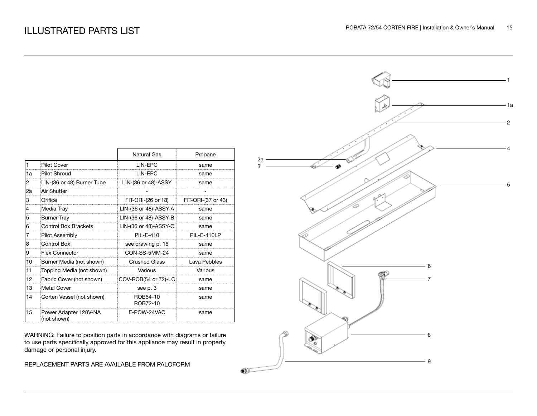|                |                                      | <b>Natural Gas</b>                    | Propane      |
|----------------|--------------------------------------|---------------------------------------|--------------|
| $\mathbf{1}$   | <b>Pilot Cover</b>                   | LIN-EPC                               | same         |
| 1a             | Pilot Shroud                         | LIN-EPC                               | same         |
| 2              | LIN-(36 or 48) Burner Tube           | $LIN-(36$ or 48)-ASSY                 | same         |
| 2a             | Air Shutter                          |                                       |              |
| 3              | Orifice                              | FIT-ORI-(26 or 18) FIT-ORI-(37 or 43) |              |
| $\overline{4}$ | Media Tray                           | LIN-(36 or 48)-ASSY-A                 | same         |
| 5              | <b>Burner Tray</b>                   | LIN-(36 or 48)-ASSY-B                 | same         |
| 6              | <b>Control Box Brackets</b>          | LIN-(36 or 48)-ASSY-C                 | same         |
| 7              | <b>Pilot Assembly</b>                | PIL-E-410                             | PIL-E-410LP  |
| 8              | Control Box                          | see drawing p. 16                     | same         |
| 9              | <b>Flex Connector</b>                | CON-SS-5MM-24                         | same         |
| 10             | Burner Media (not shown)             | <b>Crushed Glass</b>                  | Lava Pebbles |
| 11             | Topping Media (not shown)            | Various                               | Various      |
| 12             | Fabric Cover (not shown)             | COV-ROB(54 or 72)-LC                  | same         |
| 13             | Metal Cover                          | see p. 3                              | same         |
| 14             | Corten Vessel (not shown)            | ROB54-10<br>ROB72-10                  | same         |
| 15             | Power Adapter 120V-NA<br>(not shown) | E-POW-24VAC                           | same         |

WARNING: Failure to position parts in accordance with diagrams or failure to use parts specifically approved for this appliance may result in property damage or personal injury.

REPLACEMENT PARTS ARE AVAILABLE FROM PALOFORM

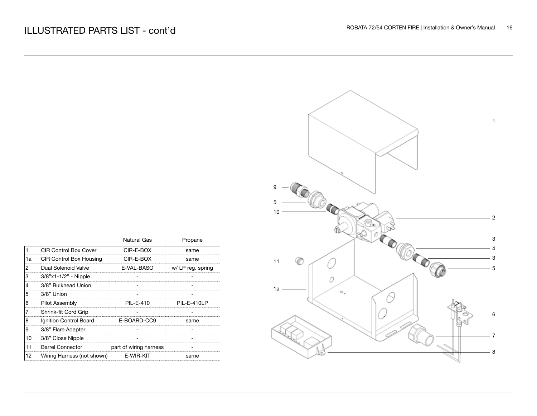|    |                              | Natural Gas            | Propane          |
|----|------------------------------|------------------------|------------------|
| 1  | <b>CIR Control Box Cover</b> | CIR-E-BOX              | same             |
| 1a | CIR Control Box Housing      | CIR-E-BOX              | same             |
| 12 | Dual Solenoid Valve          | E-VAL-BASO             | w/LP reg. spring |
| IЗ | $3/8$ "x1-1/2" - Nipple      |                        |                  |
| 14 | 3/8" Bulkhead Union          |                        |                  |
| 15 | 3/8" Union                   |                        |                  |
| 16 | <b>Pilot Assembly</b>        | PIL-E-410              | PIL-E-410LP      |
| 17 | Shrink-fit Cord Grip         |                        |                  |
| 18 | Ignition Control Board       | E-BOARD-CC9            | same             |
| 19 | 3/8" Flare Adapter           |                        |                  |
| 10 | 3/8" Close Nipple            |                        |                  |
| 11 | <b>Barrel Connector</b>      | part of wiring harness |                  |
| 12 | Wiring Harness (not shown)   | E-WIR-KIT              | same             |

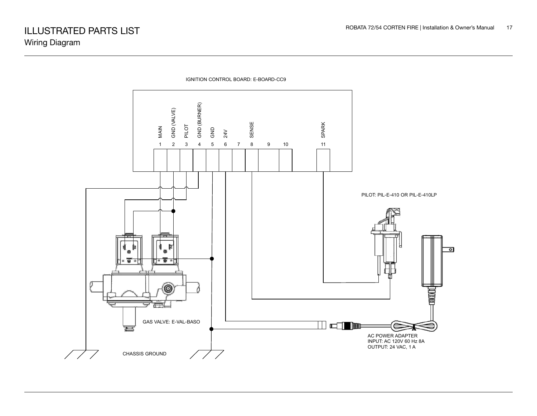

IGNITION CONTROL BOARD: E-BOARD-CC9